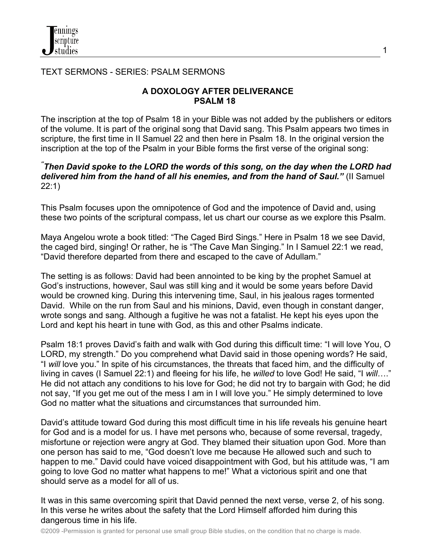### TEXT SERMONS - SERIES: PSALM SERMONS

### **A DOXOLOGY AFTER DELIVERANCE PSALM 18**

The inscription at the top of Psalm 18 in your Bible was not added by the publishers or editors of the volume. It is part of the original song that David sang. This Psalm appears two times in scripture, the first time in II Samuel 22 and then here in Psalm 18. In the original version the inscription at the top of the Psalm in your Bible forms the first verse of the original song:

### *" Then David spoke to the LORD the words of this song, on the day when the LORD had delivered him from the hand of all his enemies, and from the hand of Saul."* (II Samuel 22:1)

This Psalm focuses upon the omnipotence of God and the impotence of David and, using these two points of the scriptural compass, let us chart our course as we explore this Psalm.

Maya Angelou wrote a book titled: "The Caged Bird Sings." Here in Psalm 18 we see David, the caged bird, singing! Or rather, he is "The Cave Man Singing." In I Samuel 22:1 we read, "David therefore departed from there and escaped to the cave of Adullam."

The setting is as follows: David had been annointed to be king by the prophet Samuel at God's instructions, however, Saul was still king and it would be some years before David would be crowned king. During this intervening time, Saul, in his jealous rages tormented David. While on the run from Saul and his minions, David, even though in constant danger, wrote songs and sang. Although a fugitive he was not a fatalist. He kept his eyes upon the Lord and kept his heart in tune with God, as this and other Psalms indicate.

Psalm 18:1 proves David's faith and walk with God during this difficult time: "I will love You, O LORD, my strength." Do you comprehend what David said in those opening words? He said, "I *will* love you." In spite of his circumstances, the threats that faced him, and the difficulty of living in caves (I Samuel 22:1) and fleeing for his life, he *willed* to love God! He said, "I *will*…." He did not attach any conditions to his love for God; he did not try to bargain with God; he did not say, "If you get me out of the mess I am in I will love you." He simply determined to love God no matter what the situations and circumstances that surrounded him.

David's attitude toward God during this most difficult time in his life reveals his genuine heart for God and is a model for us. I have met persons who, because of some reversal, tragedy, misfortune or rejection were angry at God. They blamed their situation upon God. More than one person has said to me, "God doesn't love me because He allowed such and such to happen to me." David could have voiced disappointment with God, but his attitude was, "I am going to love God no matter what happens to me!" What a victorious spirit and one that should serve as a model for all of us.

It was in this same overcoming spirit that David penned the next verse, verse 2, of his song. In this verse he writes about the safety that the Lord Himself afforded him during this dangerous time in his life.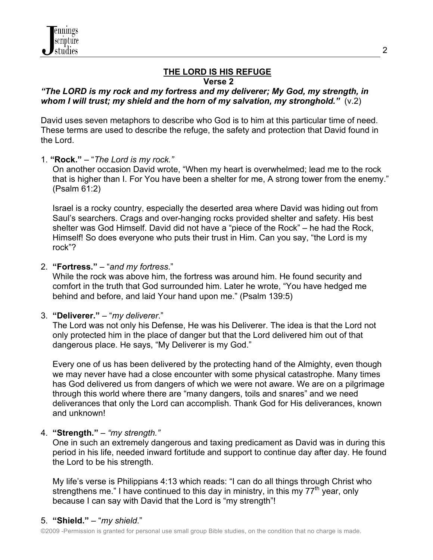#### **THE LORD IS HIS REFUGE Verse 2**

### *"The LORD is my rock and my fortress and my deliverer; My God, my strength, in whom I will trust; my shield and the horn of my salvation, my stronghold."* (v.2)

David uses seven metaphors to describe who God is to him at this particular time of need. These terms are used to describe the refuge, the safety and protection that David found in the Lord.

1. **"Rock."** – "*The Lord is my rock."*

On another occasion David wrote, "When my heart is overwhelmed; lead me to the rock that is higher than I. For You have been a shelter for me, A strong tower from the enemy." (Psalm 61:2)

 Israel is a rocky country, especially the deserted area where David was hiding out from Saul's searchers. Crags and over-hanging rocks provided shelter and safety. His best shelter was God Himself. David did not have a "piece of the Rock" – he had the Rock, Himself! So does everyone who puts their trust in Him. Can you say, "the Lord is my rock"?

2. **"Fortress."** – "*and my fortress*."

 While the rock was above him, the fortress was around him. He found security and comfort in the truth that God surrounded him. Later he wrote, "You have hedged me behind and before, and laid Your hand upon me." (Psalm 139:5)

3. **"Deliverer."** – "*my deliverer*."

The Lord was not only his Defense, He was his Deliverer. The idea is that the Lord not only protected him in the place of danger but that the Lord delivered him out of that dangerous place. He says, "My Deliverer is my God."

 Every one of us has been delivered by the protecting hand of the Almighty, even though we may never have had a close encounter with some physical catastrophe. Many times has God delivered us from dangers of which we were not aware. We are on a pilgrimage through this world where there are "many dangers, toils and snares" and we need deliverances that only the Lord can accomplish. Thank God for His deliverances, known and unknown!

## 4. **"Strength."** – *"my strength."*

One in such an extremely dangerous and taxing predicament as David was in during this period in his life, needed inward fortitude and support to continue day after day. He found the Lord to be his strength.

 My life's verse is Philippians 4:13 which reads: "I can do all things through Christ who strengthens me." I have continued to this day in ministry, in this my  $77<sup>th</sup>$  year, only because I can say with David that the Lord is "my strength"!

## 5. **"Shield."** – "*my shield*."

©2009 -Permission is granted for personal use small group Bible studies, on the condition that no charge is made.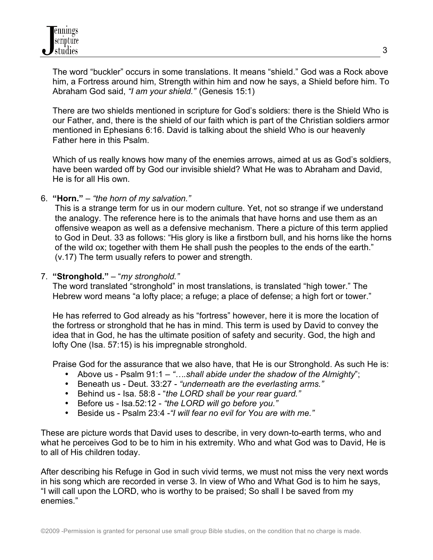The word "buckler" occurs in some translations. It means "shield." God was a Rock above him, a Fortress around him, Strength within him and now he says, a Shield before him. To Abraham God said, *"I am your shield."* (Genesis 15:1)

 There are two shields mentioned in scripture for God's soldiers: there is the Shield Who is our Father, and, there is the shield of our faith which is part of the Christian soldiers armor mentioned in Ephesians 6:16. David is talking about the shield Who is our heavenly Father here in this Psalm.

 Which of us really knows how many of the enemies arrows, aimed at us as God's soldiers, have been warded off by God our invisible shield? What He was to Abraham and David, He is for all His own.

6. **"Horn."** – *"the horn of my salvation."*

 This is a strange term for us in our modern culture. Yet, not so strange if we understand the analogy. The reference here is to the animals that have horns and use them as an offensive weapon as well as a defensive mechanism. There a picture of this term applied to God in Deut. 33 as follows: "His glory is like a firstborn bull, and his horns like the horns of the wild ox; together with them He shall push the peoples to the ends of the earth." (v.17) The term usually refers to power and strength.

### 7. **"Stronghold."** – "*my stronghold."*

 The word translated "stronghold" in most translations, is translated "high tower." The Hebrew word means "a lofty place; a refuge; a place of defense; a high fort or tower."

 He has referred to God already as his "fortress" however, here it is more the location of the fortress or stronghold that he has in mind. This term is used by David to convey the idea that in God, he has the ultimate position of safety and security. God, the high and lofty One (Isa. 57:15) is his impregnable stronghold.

Praise God for the assurance that we also have, that He is our Stronghold. As such He is:

- Above us Psalm 91:1 *"….shall abide under the shadow of the Almighty*";
- Beneath us Deut. 33:27 *"underneath are the everlasting arms."*
- Behind us Isa. 58:8 "*the LORD shall be your rear guard."*
- Before us Isa.52:12 *"the LORD will go before you."*
- Beside us Psalm 23:4 -*"I will fear no evil for You are with me."*

These are picture words that David uses to describe, in very down-to-earth terms, who and what he perceives God to be to him in his extremity. Who and what God was to David, He is to all of His children today.

After describing his Refuge in God in such vivid terms, we must not miss the very next words in his song which are recorded in verse 3. In view of Who and What God is to him he says, "I will call upon the LORD, who is worthy to be praised; So shall I be saved from my enemies."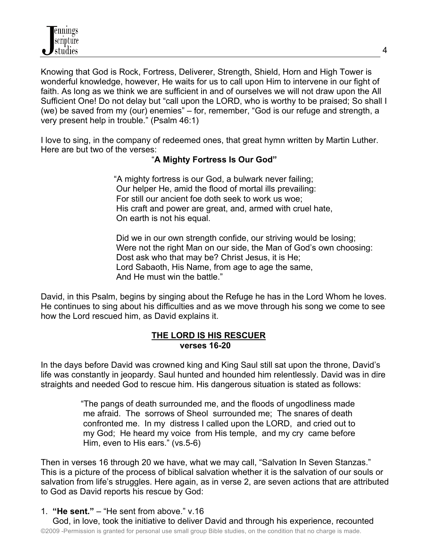Knowing that God is Rock, Fortress, Deliverer, Strength, Shield, Horn and High Tower is wonderful knowledge, however, He waits for us to call upon Him to intervene in our fight of faith. As long as we think we are sufficient in and of ourselves we will not draw upon the All Sufficient One! Do not delay but "call upon the LORD, who is worthy to be praised; So shall I (we) be saved from my (our) enemies" – for, remember, "God is our refuge and strength, a very present help in trouble." (Psalm 46:1)

I love to sing, in the company of redeemed ones, that great hymn written by Martin Luther. Here are but two of the verses:

## "**A Mighty Fortress Is Our God"**

 "A mighty fortress is our God, a bulwark never failing; Our helper He, amid the flood of mortal ills prevailing: For still our ancient foe doth seek to work us woe; His craft and power are great, and, armed with cruel hate, On earth is not his equal.

 Did we in our own strength confide, our striving would be losing; Were not the right Man on our side, the Man of God's own choosing: Dost ask who that may be? Christ Jesus, it is He; Lord Sabaoth, His Name, from age to age the same, And He must win the battle."

David, in this Psalm, begins by singing about the Refuge he has in the Lord Whom he loves. He continues to sing about his difficulties and as we move through his song we come to see how the Lord rescued him, as David explains it.

#### **THE LORD IS HIS RESCUER verses 16-20**

In the days before David was crowned king and King Saul still sat upon the throne, David's life was constantly in jeopardy. Saul hunted and hounded him relentlessly. David was in dire straights and needed God to rescue him. His dangerous situation is stated as follows:

> "The pangs of death surrounded me, and the floods of ungodliness made me afraid. The sorrows of Sheol surrounded me; The snares of death confronted me. In my distress I called upon the LORD, and cried out to my God; He heard my voice from His temple, and my cry came before Him, even to His ears." (vs.5-6)

Then in verses 16 through 20 we have, what we may call, "Salvation In Seven Stanzas." This is a picture of the process of biblical salvation whether it is the salvation of our souls or salvation from life's struggles. Here again, as in verse 2, are seven actions that are attributed to God as David reports his rescue by God:

1. **"He sent."** – "He sent from above." v.16

©2009 -Permission is granted for personal use small group Bible studies, on the condition that no charge is made. God, in love, took the initiative to deliver David and through his experience, recounted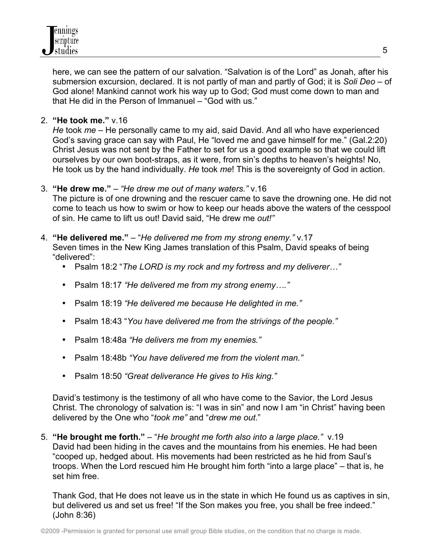here, we can see the pattern of our salvation. "Salvation is of the Lord" as Jonah, after his submersion excursion, declared. It is not partly of man and partly of God; it is *Soli Deo* – of God alone! Mankind cannot work his way up to God; God must come down to man and that He did in the Person of Immanuel – "God with us."

2. **"He took me."** v.16

 *He* took *me* – He personally came to my aid, said David. And all who have experienced God's saving grace can say with Paul, He "loved me and gave himself for me." (Gal.2:20) Christ Jesus was not sent by the Father to set for us a good example so that we could lift ourselves by our own boot-straps, as it were, from sin's depths to heaven's heights! No, He took us by the hand individually. *He* took *me*! This is the sovereignty of God in action.

## 3. **"He drew me."** – *"He drew me out of many waters."* v.16

 The picture is of one drowning and the rescuer came to save the drowning one. He did not come to teach us how to swim or how to keep our heads above the waters of the cesspool of sin. He came to lift us out! David said, "He drew me *out!"*

#### 4. **"He delivered me."** – "*He delivered me from my strong enemy."* v.17

 Seven times in the New King James translation of this Psalm, David speaks of being "delivered":

- Psalm 18:2 "*The LORD is my rock and my fortress and my deliverer…"*
- Psalm 18:17 *"He delivered me from my strong enemy…."*
- Psalm 18:19 *"He delivered me because He delighted in me."*
- Psalm 18:43 "*You have delivered me from the strivings of the people."*
- Psalm 18:48a *"He delivers me from my enemies."*
- Psalm 18:48b *"You have delivered me from the violent man."*
- Psalm 18:50 *"Great deliverance He gives to His king."*

 David's testimony is the testimony of all who have come to the Savior, the Lord Jesus Christ. The chronology of salvation is: "I was in sin" and now I am "in Christ" having been delivered by the One who "*took me"* and "*drew me out*."

5. **"He brought me forth."** – "*He brought me forth also into a large place."* v.19 David had been hiding in the caves and the mountains from his enemies. He had been "cooped up, hedged about. His movements had been restricted as he hid from Saul's troops. When the Lord rescued him He brought him forth "into a large place" – that is, he set him free.

 Thank God, that He does not leave us in the state in which He found us as captives in sin, but delivered us and set us free! "If the Son makes you free, you shall be free indeed." (John 8:36)